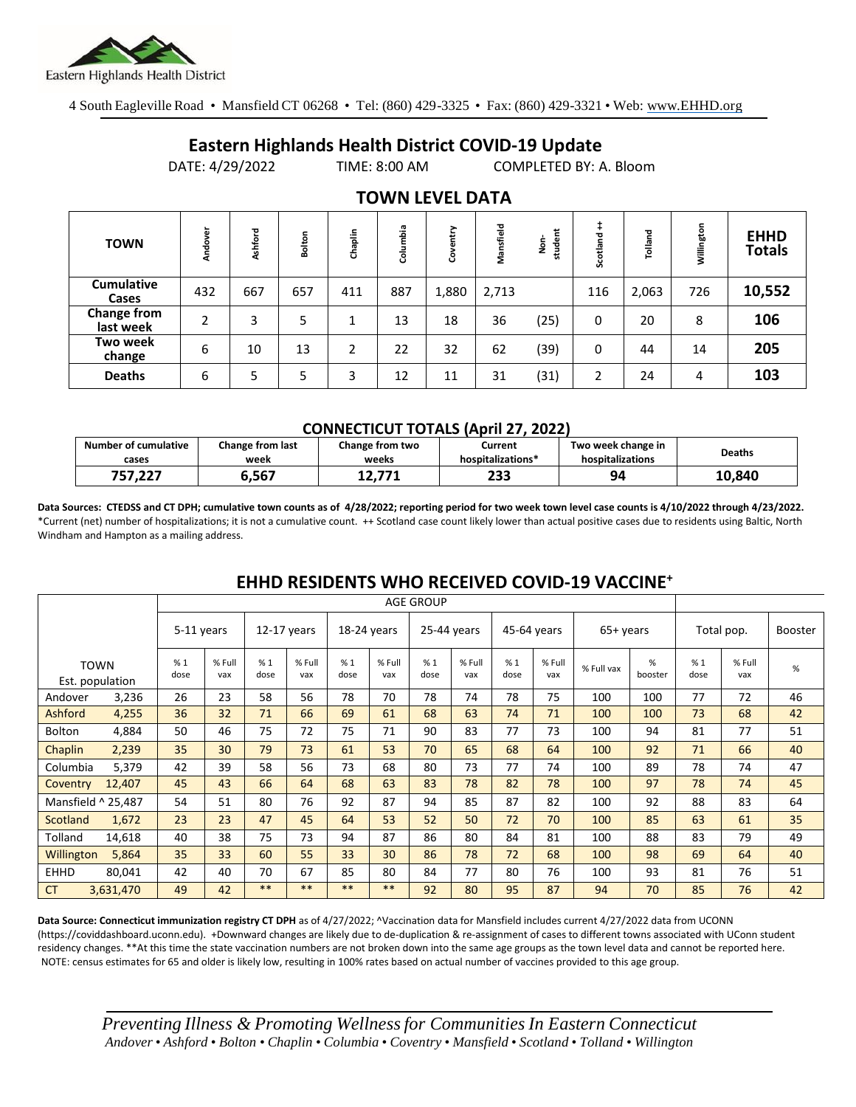

4 South Eagleville Road • Mansfield CT 06268 • Tel: (860) 429-3325 • Fax: (860) 429-3321 • Web: www.EHHD.org

## **Eastern Highlands Health District COVID-19 Update**

DATE: 4/29/2022 TIME: 8:00 AM COMPLETED BY: A. Bloom

| <b>TOWN</b>                     | Andover | Ashford | Bolton | Chaplin        | Columbia | htry<br>8 | Mansfield | student<br>s<br>S | Scotland | Tolland | Willington | <b>EHHD</b><br><b>Totals</b> |
|---------------------------------|---------|---------|--------|----------------|----------|-----------|-----------|-------------------|----------|---------|------------|------------------------------|
| <b>Cumulative</b><br>Cases      | 432     | 667     | 657    | 411            | 887      | 1,880     | 2,713     |                   | 116      | 2,063   | 726        | 10,552                       |
| <b>Change from</b><br>last week | 2       | 3       | 5      |                | 13       | 18        | 36        | (25)              | 0        | 20      | 8          | 106                          |
| Two week<br>change              | 6       | 10      | 13     | $\overline{2}$ | 22       | 32        | 62        | (39)              | 0        | 44      | 14         | 205                          |
| <b>Deaths</b>                   | 6       | 5       | 5      | 3              | 12       | 11        | 31        | (31)              | 2        | 24      | 4          | 103                          |

### **TOWN LEVEL DATA**

#### **CONNECTICUT TOTALS (April 27, 2022)**

| <b>Number of cumulative</b> | Change from last | Change from two  | Current           | Two week change in | <b>Deaths</b> |
|-----------------------------|------------------|------------------|-------------------|--------------------|---------------|
| cases                       | week             | weeks            | hospitalizations* | hospitalizations   |               |
| 757.227                     | 567,ذ            | 17 דד<br>14.77 L | 233               | 94                 | 10.840        |

**Data Sources: CTEDSS and CT DPH; cumulative town counts as of 4/28/2022; reporting period for two week town level case counts is 4/10/2022 through 4/23/2022.** \*Current (net) number of hospitalizations; it is not a cumulative count. ++ Scotland case count likely lower than actual positive cases due to residents using Baltic, North Windham and Hampton as a mailing address.

|             |                                |            | <b>AGE GROUP</b> |               |               |             |               |               |               |             |               |            |              |            |               |                |
|-------------|--------------------------------|------------|------------------|---------------|---------------|-------------|---------------|---------------|---------------|-------------|---------------|------------|--------------|------------|---------------|----------------|
|             |                                | 5-11 years |                  | $12-17$ years |               | 18-24 years |               | $25-44$ years |               | 45-64 years |               | 65+ years  |              | Total pop. |               | <b>Booster</b> |
|             | <b>TOWN</b><br>Est. population | %1<br>dose | % Full<br>vax    | %1<br>dose    | % Full<br>vax | %1<br>dose  | % Full<br>vax | %1<br>dose    | % Full<br>vax | %1<br>dose  | % Full<br>vax | % Full vax | %<br>booster | %1<br>dose | % Full<br>vax | $\%$           |
| Andover     | 3,236                          | 26         | 23               | 58            | 56            | 78          | 70            | 78            | 74            | 78          | 75            | 100        | 100          | 77         | 72            | 46             |
| Ashford     | 4,255                          | 36         | 32               | 71            | 66            | 69          | 61            | 68            | 63            | 74          | 71            | 100        | 100          | 73         | 68            | 42             |
| Bolton      | 4,884                          | 50         | 46               | 75            | 72            | 75          | 71            | 90            | 83            | 77          | 73            | 100        | 94           | 81         | 77            | 51             |
| Chaplin     | 2,239                          | 35         | 30               | 79            | 73            | 61          | 53            | 70            | 65            | 68          | 64            | 100        | 92           | 71         | 66            | 40             |
| Columbia    | 5,379                          | 42         | 39               | 58            | 56            | 73          | 68            | 80            | 73            | 77          | 74            | 100        | 89           | 78         | 74            | 47             |
| Coventry    | 12,407                         | 45         | 43               | 66            | 64            | 68          | 63            | 83            | 78            | 82          | 78            | 100        | 97           | 78         | 74            | 45             |
|             | Mansfield ^ 25,487             | 54         | 51               | 80            | 76            | 92          | 87            | 94            | 85            | 87          | 82            | 100        | 92           | 88         | 83            | 64             |
| Scotland    | 1,672                          | 23         | 23               | 47            | 45            | 64          | 53            | 52            | 50            | 72          | 70            | 100        | 85           | 63         | 61            | 35             |
| Tolland     | 14,618                         | 40         | 38               | 75            | 73            | 94          | 87            | 86            | 80            | 84          | 81            | 100        | 88           | 83         | 79            | 49             |
| Willington  | 5,864                          | 35         | 33               | 60            | 55            | 33          | 30            | 86            | 78            | 72          | 68            | 100        | 98           | 69         | 64            | 40             |
| <b>EHHD</b> | 80,041                         | 42         | 40               | 70            | 67            | 85          | 80            | 84            | 77            | 80          | 76            | 100        | 93           | 81         | 76            | 51             |
| <b>CT</b>   | 3,631,470                      | 49         | 42               | $***$         | $***$         | **          | **            | 92            | 80            | 95          | 87            | 94         | 70           | 85         | 76            | 42             |

## **EHHD RESIDENTS WHO RECEIVED COVID-19 VACCINE<sup>+</sup>**

**Data Source: Connecticut immunization registry CT DPH** as of 4/27/2022; ^Vaccination data for Mansfield includes current 4/27/2022 data from UCONN (https://coviddashboard.uconn.edu). +Downward changes are likely due to de-duplication & re-assignment of cases to different towns associated with UConn student residency changes. \*\*At this time the state vaccination numbers are not broken down into the same age groups as the town level data and cannot be reported here. NOTE: census estimates for 65 and older is likely low, resulting in 100% rates based on actual number of vaccines provided to this age group.

*Preventing Illness & Promoting Wellnessfor Communities In Eastern Connecticut* Andover • Ashford • Bolton • Chaplin • Columbia • Coventry • Mansfield • Scotland • Tolland • Willington